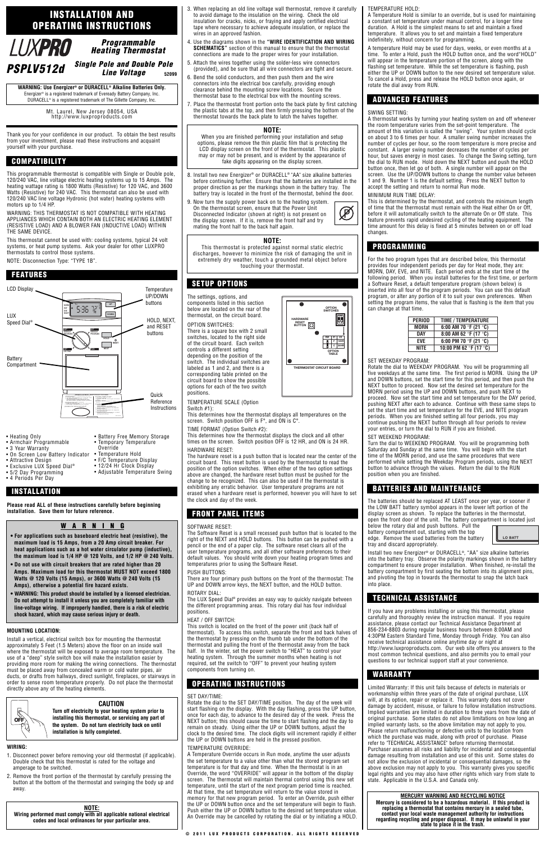Thank you for your confidence in our product. To obtain the best results from your investment, please read these instructions and acquaint yourself with your purchase.

This programmable thermostat is compatible with Single or Double pole, 120/240 VAC, line voltage electric heating systems up to 15 Amps. The heating wattage rating is 1800 Watts (Resistive) for 120 VAC, and 3600 Watts (Resistive) for 240 VAC. This thermostat can also be used with 120/240 VAC line voltage Hydronic (hot water) heating systems with motors up to 1/4 HP.

WARNING: THIS THERMOSTAT IS NOT COMPATIBLE WITH HEATING APPLIANCES WHICH CONTAIN BOTH AN ELECTRIC HEATING ELEMENT (RESISTIVE LOAD) AND A BLOWER FAN (INDUCTIVE LOAD) WITHIN THE SAME DEVICE.

This thermostat cannot be used with: cooling systems, typical 24 volt systems, or heat pump systems. Ask your dealer for other LUXPRO thermostats to control those systems.

NOTE: Disconnection Type: "TYPE 1B".

**Please read ALL of these instructions carefully before beginning installation. Save them for future reference.**

#### **MOUNTING LOCATION:**

Install a vertical, electrical switch box for mounting the thermostat approximately 5 Feet (1.5 Meters) above the floor on an inside wall where the thermostat will be exposed to average room temperature. The use of a "deep" style switch box will make the installation easier by providing more room for making the wiring connections. The thermostat must be placed away from concealed warm or cold water pipes, air ducts, or drafts from hallways, direct sunlight, fireplaces, or stairways in order to sense room temperature properly. Do not place the thermostat directly above any of the heating elements.

#### **WIRING:**

- 8. Install two new Energizer<sup>®</sup> or DURACELL<sup>®</sup> "AA" size alkaline batteries before continuing further. Ensure that the batteries are installed in the proper direction as per the markings shown in the battery tray. The battery tray is located in the front of the thermostat, behind the door.
- 9. Now turn the supply power back on to the heating system. On the thermostat screen, ensure that the Power Unit Disconnected Indicator (shown at right) is not present on the display screen. If it is, remove the front half and try mating the front half to the back half again.

- 1. Disconnect power before removing your old thermostat (if applicable). Double check that this thermostat is rated for the voltage and amperage to be switched.
- 2. Remove the front portion of the thermostat by carefully pressing the button at the bottom of the thermostat and swinging the body up and away.
- 3. When replacing an old line voltage wall thermostat, remove it carefully to avoid damage to the insulation on the wiring. Check the old insulation for cracks, nicks, or fraying and apply certified electrical tape where necessary to achieve adequate insulation, or replace the wires in an approved fashion.
- 4. Use the diagrams shown in the **"WIRE IDENTIFICATION AND WIRING SCHEMATICS"** section of this manual to ensure that the thermostat connections are made to the proper wires for your installation.
- 5. Attach the wires together using the solder-less wire connectors (provided), and be sure that all wire connectors are tight and secure.
- 6. Bend the solid conductors, and then push them and the wire connectors into the electrical box carefully, providing enough clearance behind the mounting screw locations. Secure the thermostat base to the electrical box with the mounting screws.
- 7. Place the thermostat front portion onto the back plate by first catching the plastic tabs at the top, and then firmly pressing the bottom of the thermostat towards the back plate to latch the halves together.

The settings, options, and components listed in this section below are located on the rear of the thermostat, on the circuit board.

#### OPTION SWITCHES:

There is a square box with 2 small switches, located to the right side of the circuit board. Each switch controls a different setting depending on the position of the switch. The individual switches are labeled as 1 and 2, and there is a corresponding table printed on the circuit board to show the possible options for each of the two switch positions.

TEMPERATURE SCALE (Option Switch #1):

This determines how the thermostat displays all temperatures on the screen. Switch position OFF is F°, and ON is C°.

TIME FORMAT (Option Switch #2):

This determines how the thermostat displays the clock and all other times on the screen. Switch position OFF is 12 HR, and ON is 24 HR. HARDWARE RESET:

The hardware reset is a push button that is located near the center of the circuit board. This reset button is used by the thermostat to read the position of the option switches. When either of the two option settings above are changed, the hardware reset button must be pushed for the change to be recognized. This can also be used if the thermostat is exhibiting any erratic behavior. User temperature programs are not erased when a hardware reset is performed, however you will have to set the clock and day of the week.

### SOFTWARE RESET:

The Software Reset is a small recessed push button that is located to the right of the NEXT and HOLD buttons. This button can be pushed with a pencil or the end of a paper clip. The software reset clears all of the user temperature programs, and all other software preferences to their default values. You should write down your heating program times and temperatures prior to using the Software Reset.

#### PUSH BUTTONS:

There are four primary push buttons on the front of the thermostat: The UP and DOWN arrow keys, the NEXT button, and the HOLD button. ROTARY DIAL:

The LUX Speed Dial® provides an easy way to quickly navigate between the different programming areas. This rotary dial has four individual positions.

HEAT / OFF SWITCH:

This switch is located on the front of the power unit (back half of thermostat). To access this switch, separate the front and back halves of the thermostat by pressing on the thumb tab under the bottom of the thermostat and pulling the front of the thermostat away from the back half. In the winter, set the power switch to "HEAT" to control your heating system. Through the summer months when heating is not required, set the switch to "OFF" to prevent your heating system components from turning on.

#### SET DAY/TIME:

Rotate the dial to the SET DAY/TIME position. The day of the week will start flashing on the display. With the day flashing, press the UP button, once for each day, to advance to the desired day of the week. Press the NEXT button; this should cause the time to start flashing and the day to remain on steady. Using either the UP or DOWN buttons, adjust the clock to the desired time. The clock digits will increment rapidly if either the UP or DOWN buttons are held in the pressed position.

#### TEMPERATURE OVERRIDE:

A Temperature Override occurs in Run mode, anytime the user adjusts the set temperature to a value other than what the stored program set temperature is for that day and time. When the thermostat is in an Override, the word "OVERRIDE" will appear in the bottom of the display screen. The thermostat will maintain thermal control using this new set temperature, until the start of the next program period time is reached. At that time, the set temperature will return to the value stored in memory for that new program period. To enter an Override, push either the UP or DOWN button once and the set temperature will begin to flash. Push either the UP or DOWN button to the desired set temperature value. An Override may be cancelled by rotating the dial or by initiating a HOLD.

### TEMPERATURE HOLD:

A Temperature Hold is similar to an override, but is used for maintaining a constant set temperature under manual control, for a longer time duration. A Hold is the simplest means to set and maintain a fixed temperature. It allows you to set and maintain a fixed temperature indefinitely, without concern for programming.

A temperature Hold may be used for days, weeks, or even months at a time. To enter a Hold, push the HOLD button once, and the word"HOLD" will appear in the temperature portion of the screen, along with the flashing set temperature. While the set temperature is flashing, push either the UP or DOWN button to the new desired set temperature value. To cancel a Hold, press and release the HOLD button once again, or rotate the dial away from RUN.

### SWING SETTING:

A thermostat works by turning your heating system on and off whenever the room temperature varies from the set-point temperature. The amount of this variation is called the "swing". Your system should cycle on about 3 to 6 times per hour. A smaller swing number increases the number of cycles per hour, so the room temperature is more precise and constant. A larger swing number decreases the number of cycles per hour, but saves energy in most cases. To change the Swing setting, turn the dial to RUN mode. Hold down the NEXT button and push the HOLD button once, then let go of both. A single number will appear on the screen. Use the UP/DOWN buttons to change the number value between 1 and 9. Number 1 is the default setting. Press the NEXT button to accept the setting and return to normal Run mode.

### MINIMUM RUN TIME DELAY:

This is determined by the thermostat, and controls the minimum length of time that the thermostat must remain with the Heat either On or Off, before it will automatically switch to the alternate On or Off state. This feature prevents rapid undesired cycling of the heating equipment. The time amount for this delay is fixed at 5 minutes between on or off load changes.

For the two program types that are described below, this thermostat provides four independent periods per day for Heat mode, they are: MORN, DAY, EVE, and NITE. Each period ends at the start time of the following period. When you install batteries for the first time, or perform a Software Reset, a default temperature program (shown below) is inserted into all four of the program periods. You can use this default program, or alter any portion of it to suit your own preferences. When setting the program items, the value that is flashing is the item that you can change at that time.

#### SET WEEKDAY PROGRAM:

Rotate the dial to WEEKDAY PROGRAM. You will be programming all five weekdays at the same time. The first period is MORN. Using the UP and DOWN buttons, set the start time for this period, and then push the NEXT button to proceed. Now set the desired set temperature for the MORN period using the UP and DOWN buttons, and push NEXT to proceed. Now set the start time and set temperature for the DAY period, pushing NEXT after each to advance. Continue with these same steps to set the start time and set temperature for the EVE, and NITE program periods. When you are finished setting all four periods, you may continue pushing the NEXT button through all four periods to review your entries, or turn the dial to RUN if you are finished.

### SET WEEKEND PROGRAM:

Turn the dial to WEEKEND PROGRAM. You will be programming both Saturday and Sunday at the same time. You will begin with the start time of the MORN period, and use the same procedures that were performed while setting the Weekday Program periods, using the NEXT button to advance through the values. Return the dial to the RUN position when you are finished.

The batteries should be replaced AT LEAST once per year, or sooner if the LOW BATT battery symbol appears in the lower left portion of the display screen as shown. To replace the batteries in the thermostat, open the front door of the unit. The battery compartment is located just

below the rotary dial and push buttons. Pull the battery compartment out, starting with the top edge. Remove the used batteries from the battery tray and discard appropriately.

Install two new Energizer® or DURACELL®, "AA" size alkaline batteries into the battery tray. Observe the polarity markings shown in the battery compartment to ensure proper installation. When finished, re-install the battery compartment by first seating the bottom into its alignment pins, and pivoting the top in towards the thermostat to snap the latch back into place.

If you have any problems installing or using this thermostat, please carefully and thoroughly review the instruction manual. If you require assistance, please contact our Technical Assistance Department at 856-234-8803 during regular business hours between 8:00AM and 4:30PM Eastern Standard Time, Monday through Friday. You can also receive technical assistance online anytime day or night at http://www.luxproproducts.com. Our web site offers you answers to the most common technical questions, and also permits you to email your questions to our technical support staff at your convenience.

Limited Warranty: If this unit fails because of defects in materials or workmanship within three years of the date of original purchase, LUX will, at its option, repair or replace it. This warranty does not cover damage by accident, misuse, or failure to follow installation instructions. Implied warranties are limited in duration to three years from the date of original purchase. Some states do not allow limitations on how long an implied warranty lasts, so the above limitation may not apply to you. Please return malfunctioning or defective units to the location from which the purchase was made, along with proof of purchase. Please refer to "TECHNICAL ASSISTANCE" before returning thermostat. Purchaser assumes all risks and liability for incidental and consequential damage resulting from installation and use of this unit. Some states do not allow the exclusion of incidental or consequential damages, so the above exclusion may not apply to you. This warranty gives you specific legal rights and you may also have other rights which vary from state to state. Applicable in the U.S.A. and Canada only.

# **Programmable Heating Thermostat**

# **Single Pole and Double Pole PSPLV512d Line Voltage <sup>52099</sup>**

**WARNING: Use Energizer® or DURACELL® Alkaline Batteries Only.** Energizer<sup>®</sup> is a registered trademark of Eveready Battery Company, Inc. DURACELL® is a registered trademark of The Gillette Company, Inc.

> Mt. Laurel, New Jersey 08054, USA http://www.luxproproducts.com

# **INSTALLATION AND OPERATING INSTRUCTIONS**



### **COMPATIBILITY**

# **FRONT PANEL ITEMS**

### **PROGRAMMING**

# **BATTERIES AND MAINTENANCE**

# **TECHNICAL ASSISTANCE**

### **WARRANTY**

## **ADVANCED FEATURES**

### **OPERATING INSTRUCTIONS**

## **SETUP OPTIONS**



- Heating Only
- Armchair Programmable
- 3 Year Warranty
- On Screen Low Battery Indicator
- Attractive Design • Exclusive LUX Speed Dial<sup>®</sup>
- 5/2 Day Programming
- 4 Periods Per Day
- Battery Free Memory Storage • Temporary Temperature
	- Override
		- Temperature Hold
		- F/C Temperature Display
		- 12/24 Hr Clock Display

## • Adjustable Temperature Swing

### **WARNING**

- **For applications such as baseboard electric heat (resistive), the maximum load is 15 Amps, from a 20 Amp circuit breaker. For heat applications such as a hot water circulator pump (inductive), the maximum load is 1/4 HP @ 120 Volts, and 1/2 HP @ 240 Volts.**
- **Do not use with circuit breakers that are rated higher than 20 Amps. Maximum load for this thermostat MUST NOT exceed 1800 Watts @ 120 Volts (15 Amps), or 3600 Watts @ 240 Volts (15 Amps), otherwise a potential fire hazard exists.**
- **WARNING: This product should be installed by a licensed electrician. Do not attempt to install it unless you are completely familiar with line-voltage wiring. If improperly handled, there is a risk of electric shock hazard, which may cause serious injury or death.**

### **CAUTION**

**Turn off electricity to your heating system prior to installing this thermostat, or servicing any part of the system. Do not turn electricity back on until installation is fully completed.**

### **MERCURY WARNING AND RECYCLING NOTICE**

**Mercury is considered to be a hazardous material. If this product is replacing a thermostat that contains mercury in a sealed tube, contact your local waste management authority for instructions regarding recycling and proper disposal. It may be unlawful in your state to place it in the trash.**

### **NOTE:**

This thermostat is protected against normal static electric discharges, however to minimize the risk of damaging the unit in extremely dry weather, touch a grounded metal object before touching your thermostat.



#### **NOTE: Wiring performed must comply with all applicable national electrical codes and local ordinances for your particular area.**

### **NOTE:**

When you are finished performing your installation and setup options, please remove the thin plastic film that is protecting the LCD display screen on the front of the thermostat. This plastic may or may not be present, and is evident by the appearance of fake digits appearing on the display screen.

# **FEATURES**

### **INSTALLATION**

**1 2 ON**

 $\bullet$ 

**SW #1 #2 F 12HR C 24HR**

**OPTION SWITCHES**

> **OPTION TABLE**

**HARDWARE RESET BUTTON**

**THERMOSTAT CIRCUIT BOARD**

| <b>PERIOD</b> | <b>TIME / TEMPERATURE</b>                |
|---------------|------------------------------------------|
| <b>MORN</b>   | 6:00 AM 70 °F (21 °C)                    |
| <b>DAY</b>    | 8:00 AM 62 $\degree$ F (17 $\degree$ C)  |
| <b>EVF</b>    | 6:00 PM 70 °F (21 °C)                    |
| <b>NITE</b>   | 10:00 PM 62 $\degree$ F (17 $\degree$ C) |